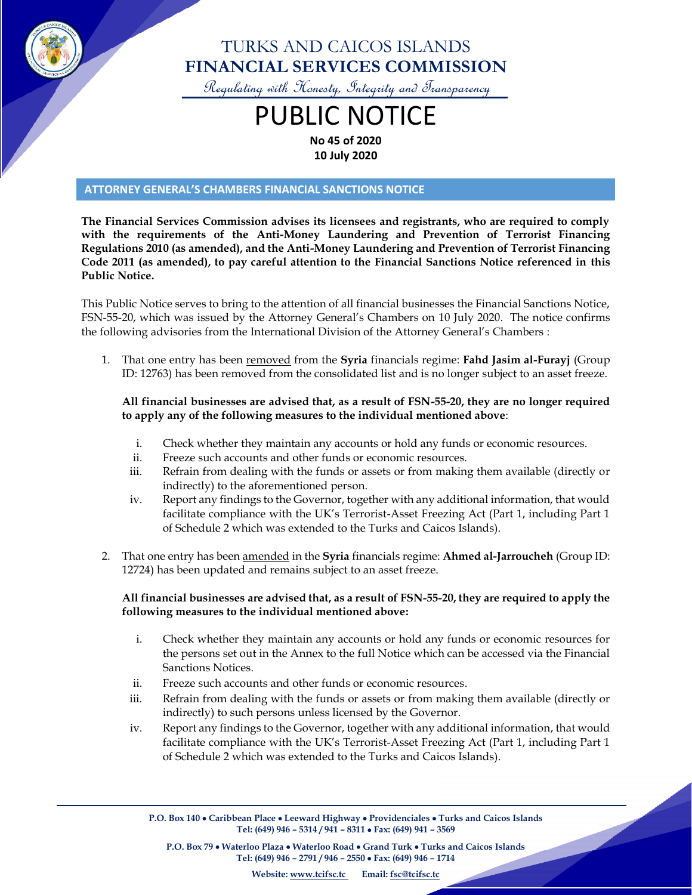

### TURKS AND CAICOS ISLANDS **FINANCIAL SERVICES COMMISSION**

Regulating with Honesty, Integrity and Transparency

## PUBLIC NOTICE **No 45 of 2020**

**10 July 2020**

#### **ATTORNEY GENERAL'S CHAMBERS FINANCIAL SANCTIONS NOTICE**

**The Financial Services Commission advises its licensees and registrants, who are required to comply with the requirements of the Anti-Money Laundering and Prevention of Terrorist Financing Regulations 2010 (as amended), and the Anti-Money Laundering and Prevention of Terrorist Financing Code 2011 (as amended), to pay careful attention to the Financial Sanctions Notice referenced in this Public Notice.**

This Public Notice serves to bring to the attention of all financial businesses the Financial Sanctions Notice, FSN-55-20, which was issued by the Attorney General's Chambers on 10 July 2020. The notice confirms the following advisories from the International Division of the Attorney General's Chambers :

1. That one entry has been removed from the **Syria** financials regime: **Fahd Jasim al-Furayj** (Group ID: 12763) has been removed from the consolidated list and is no longer subject to an asset freeze.

#### **All financial businesses are advised that, as a result of FSN-55-20, they are no longer required to apply any of the following measures to the individual mentioned above**:

- i. Check whether they maintain any accounts or hold any funds or economic resources.
- ii. Freeze such accounts and other funds or economic resources.
- iii. Refrain from dealing with the funds or assets or from making them available (directly or indirectly) to the aforementioned person.
- iv. Report any findings to the Governor, together with any additional information, that would facilitate compliance with the UK's Terrorist-Asset Freezing Act (Part 1, including Part 1 of Schedule 2 which was extended to the Turks and Caicos Islands).
- 2. That one entry has been amended in the **Syria** financials regime: **Ahmed al-Jarroucheh** (Group ID: 12724) has been updated and remains subject to an asset freeze.

#### **All financial businesses are advised that, as a result of FSN-55-20, they are required to apply the following measures to the individual mentioned above:**

- i. Check whether they maintain any accounts or hold any funds or economic resources for the persons set out in the Annex to the full Notice which can be accessed via the Financial Sanctions Notices.
- ii. Freeze such accounts and other funds or economic resources.
- iii. Refrain from dealing with the funds or assets or from making them available (directly or indirectly) to such persons unless licensed by the Governor.
- iv. Report any findings to the Governor, together with any additional information, that would facilitate compliance with the UK's Terrorist-Asset Freezing Act (Part 1, including Part 1 of Schedule 2 which was extended to the Turks and Caicos Islands).

**P.O. Box 140** • **Caribbean Place** • **Leeward Highway** • **Providenciales** • **Turks and Caicos Islands Tel: (649) 946 – 5314 / 941 – 8311** • **Fax: (649) 941 – 3569**

**P.O. Box 79** • **Waterloo Plaza** • **Waterloo Road** • **Grand Turk** • **Turks and Caicos Islands Tel: (649) 946 – 2791 / 946 – 2550** • **Fax: (649) 946 – 1714**

**Website: [www.tcifsc.tc](http://www.tcifsc.tc/) Email[: fsc@tcifsc.tc](mailto:fsc@tcifsc.tc)**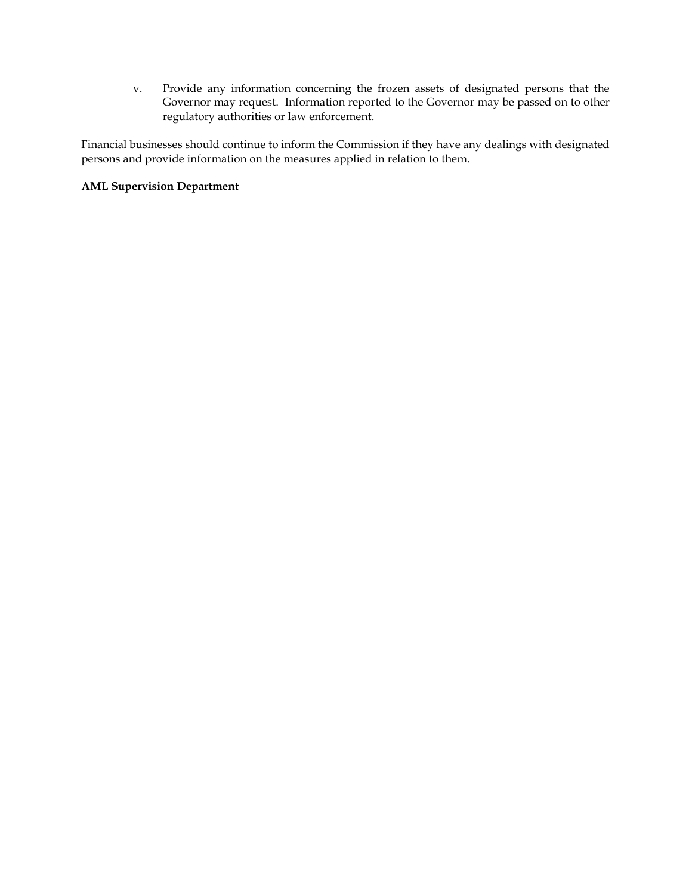v. Provide any information concerning the frozen assets of designated persons that the Governor may request. Information reported to the Governor may be passed on to other regulatory authorities or law enforcement.

Financial businesses should continue to inform the Commission if they have any dealings with designated persons and provide information on the measures applied in relation to them.

#### **AML Supervision Department**